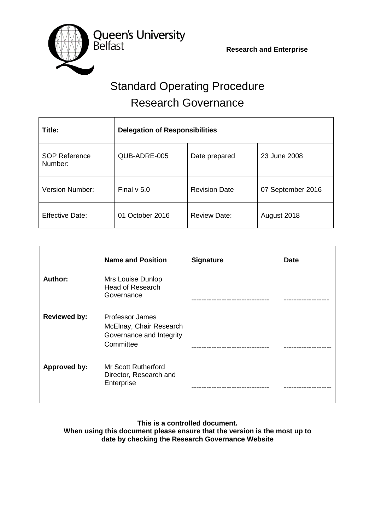**Research and Enterprise**



# Standard Operating Procedure Research Governance

| Title:                          | <b>Delegation of Responsibilities</b> |                      |                   |
|---------------------------------|---------------------------------------|----------------------|-------------------|
| <b>SOP Reference</b><br>Number: | QUB-ADRE-005                          | Date prepared        | 23 June 2008      |
| Version Number:                 | Final $v$ 5.0                         | <b>Revision Date</b> | 07 September 2016 |
| <b>Effective Date:</b>          | 01 October 2016                       | <b>Review Date:</b>  | August 2018       |

|                     | <b>Name and Position</b>                                                            | <b>Signature</b> | <b>Date</b> |
|---------------------|-------------------------------------------------------------------------------------|------------------|-------------|
| Author:             | Mrs Louise Dunlop<br><b>Head of Research</b><br>Governance                          |                  |             |
| <b>Reviewed by:</b> | Professor James<br>McElnay, Chair Research<br>Governance and Integrity<br>Committee |                  |             |
| Approved by:        | <b>Mr Scott Rutherford</b><br>Director, Research and<br>Enterprise                  |                  |             |

#### **This is a controlled document. When using this document please ensure that the version is the most up to date by checking the Research Governance Website**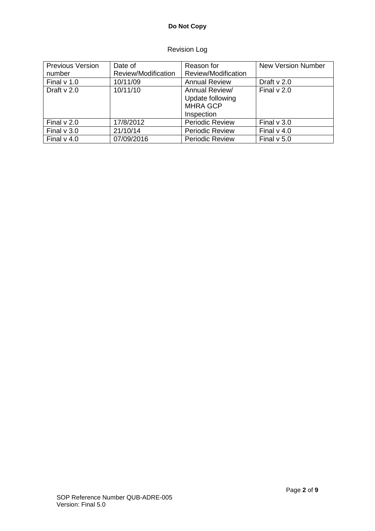# **Do Not Copy**

# Revision Log

| <b>Previous Version</b> | Date of             | Reason for                                                          | <b>New Version Number</b> |
|-------------------------|---------------------|---------------------------------------------------------------------|---------------------------|
| number                  | Review/Modification | Review/Modification                                                 |                           |
| Final $v$ 1.0           | 10/11/09            | <b>Annual Review</b>                                                | Draft $v$ 2.0             |
| Draft $v$ 2.0           | 10/11/10            | Annual Review/<br>Update following<br><b>MHRA GCP</b><br>Inspection | Final $v$ 2.0             |
| Final $v$ 2.0           | 17/8/2012           | <b>Periodic Review</b>                                              | Final $v$ 3.0             |
| Final $v$ 3.0           | 21/10/14            | <b>Periodic Review</b>                                              | Final $v$ 4.0             |
| Final $v$ 4.0           | 07/09/2016          | <b>Periodic Review</b>                                              | Final $v$ 5.0             |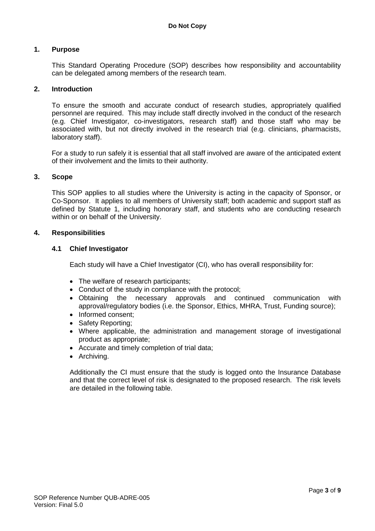#### **1. Purpose**

This Standard Operating Procedure (SOP) describes how responsibility and accountability can be delegated among members of the research team.

#### **2. Introduction**

To ensure the smooth and accurate conduct of research studies, appropriately qualified personnel are required. This may include staff directly involved in the conduct of the research (e.g. Chief Investigator, co-investigators, research staff) and those staff who may be associated with, but not directly involved in the research trial (e.g. clinicians, pharmacists, laboratory staff).

For a study to run safely it is essential that all staff involved are aware of the anticipated extent of their involvement and the limits to their authority.

#### **3. Scope**

This SOP applies to all studies where the University is acting in the capacity of Sponsor, or Co-Sponsor. It applies to all members of University staff; both academic and support staff as defined by Statute 1, including honorary staff, and students who are conducting research within or on behalf of the University.

#### **4. Responsibilities**

#### **4.1 Chief Investigator**

Each study will have a Chief Investigator (CI), who has overall responsibility for:

- The welfare of research participants;
- Conduct of the study in compliance with the protocol;
- Obtaining the necessary approvals and continued communication with approval/regulatory bodies (i.e. the Sponsor, Ethics, MHRA, Trust, Funding source);
- Informed consent:
- Safety Reporting;
- Where applicable, the administration and management storage of investigational product as appropriate;
- Accurate and timely completion of trial data;
- Archiving.

Additionally the CI must ensure that the study is logged onto the Insurance Database and that the correct level of risk is designated to the proposed research. The risk levels are detailed in the following table.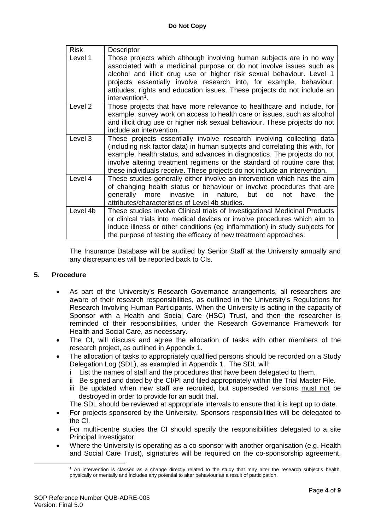| <b>Risk</b> | Descriptor                                                                                                                                                                                                                                                                                                                                                                                              |
|-------------|---------------------------------------------------------------------------------------------------------------------------------------------------------------------------------------------------------------------------------------------------------------------------------------------------------------------------------------------------------------------------------------------------------|
| Level 1     | Those projects which although involving human subjects are in no way<br>associated with a medicinal purpose or do not involve issues such as<br>alcohol and illicit drug use or higher risk sexual behaviour. Level 1<br>projects essentially involve research into, for example, behaviour,<br>attitudes, rights and education issues. These projects do not include an<br>intervention <sup>1</sup> . |
| Level 2     | Those projects that have more relevance to healthcare and include, for<br>example, survey work on access to health care or issues, such as alcohol<br>and illicit drug use or higher risk sexual behaviour. These projects do not<br>include an intervention.                                                                                                                                           |
| Level 3     | These projects essentially involve research involving collecting data<br>(including risk factor data) in human subjects and correlating this with, for<br>example, health status, and advances in diagnostics. The projects do not<br>involve altering treatment regimens or the standard of routine care that<br>these individuals receive. These projects do not include an intervention.             |
| Level 4     | These studies generally either involve an intervention which has the aim<br>of changing health status or behaviour or involve procedures that are<br>generally more invasive<br>in nature,<br>but do<br>the<br>not<br>have<br>attributes/characteristics of Level 4b studies.                                                                                                                           |
| Level 4b    | These studies involve Clinical trials of Investigational Medicinal Products<br>or clinical trials into medical devices or involve procedures which aim to<br>induce illness or other conditions (eg inflammation) in study subjects for<br>the purpose of testing the efficacy of new treatment approaches.                                                                                             |

The Insurance Database will be audited by Senior Staff at the University annually and any discrepancies will be reported back to CIs.

#### **5. Procedure**

<span id="page-3-0"></span><u>.</u>

- As part of the University's Research Governance arrangements, all researchers are aware of their research responsibilities, as outlined in the University's Regulations for Research Involving Human Participants. When the University is acting in the capacity of Sponsor with a Health and Social Care (HSC) Trust, and then the researcher is reminded of their responsibilities, under the Research Governance Framework for Health and Social Care, as necessary.
- The CI, will discuss and agree the allocation of tasks with other members of the research project, as outlined in Appendix 1.
- The allocation of tasks to appropriately qualified persons should be recorded on a Study Delegation Log (SDL), as exampled in Appendix 1. The SDL will:
	- i List the names of staff and the procedures that have been delegated to them.
	- ii Be signed and dated by the CI/PI and filed appropriately within the Trial Master File.
	- iii Be updated when new staff are recruited, but superseded versions must not be destroyed in order to provide for an audit trial.

The SDL should be reviewed at appropriate intervals to ensure that it is kept up to date.

- For projects sponsored by the University, Sponsors responsibilities will be delegated to the CI.
- For multi-centre studies the CI should specify the responsibilities delegated to a site Principal Investigator.
- Where the University is operating as a co-sponsor with another organisation (e.g. Health and Social Care Trust), signatures will be required on the co-sponsorship agreement,

<sup>1</sup> An intervention is classed as a change directly related to the study that may alter the research subject's health, physically or mentally and includes any potential to alter behaviour as a result of participation.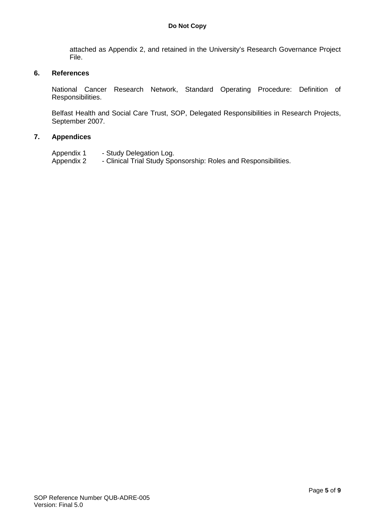attached as Appendix 2, and retained in the University's Research Governance Project File.

#### **6. References**

National Cancer Research Network, Standard Operating Procedure: Definition of Responsibilities.

Belfast Health and Social Care Trust, SOP, Delegated Responsibilities in Research Projects, September 2007.

#### **7. Appendices**

Appendix 1 - Study Delegation Log. Appendix 2 - Clinical Trial Study Sponsorship: Roles and Responsibilities.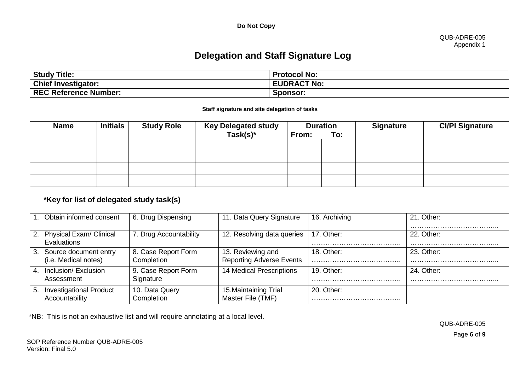**Do Not Copy**

#### QUB-ADRE-005 Appendix 1

# **Delegation and Staff Signature Log**

| <b>Study Title:</b>          | <b>Protocol No:</b> |
|------------------------------|---------------------|
| <b>Chief Investigator:</b>   | <b>EUDRACT No:</b>  |
| <b>REC Reference Number:</b> | Sponsor:            |

#### **Staff signature and site delegation of tasks**

| <b>Name</b> | <b>Initials</b> | <b>Study Role</b> | <b>Key Delegated study</b><br>$Task(s)^*$ | <b>Duration</b><br>From: | To: | <b>Signature</b> | <b>CI/PI Signature</b> |
|-------------|-----------------|-------------------|-------------------------------------------|--------------------------|-----|------------------|------------------------|
|             |                 |                   |                                           |                          |     |                  |                        |
|             |                 |                   |                                           |                          |     |                  |                        |
|             |                 |                   |                                           |                          |     |                  |                        |
|             |                 |                   |                                           |                          |     |                  |                        |

## **\*Key for list of delegated study task(s)**

| Obtain informed consent                                | 6. Drug Dispensing                | 11. Data Query Signature                             | 16. Archiving | 21. Other:     |
|--------------------------------------------------------|-----------------------------------|------------------------------------------------------|---------------|----------------|
| 2. Physical Exam/ Clinical<br>Evaluations              | 7. Drug Accountability            | 12. Resolving data queries                           | 17. Other:    | 22. Other:<br> |
| Source document entry<br>3.<br>(i.e. Medical notes)    | 8. Case Report Form<br>Completion | 13. Reviewing and<br><b>Reporting Adverse Events</b> | 18. Other:    | 23. Other:     |
| Inclusion/ Exclusion<br>4.<br>Assessment               | 9. Case Report Form<br>Signature  | <b>14 Medical Prescriptions</b>                      | 19. Other:    | 24. Other:     |
| <b>Investigational Product</b><br>5.<br>Accountability | 10. Data Query<br>Completion      | 15. Maintaining Trial<br>Master File (TMF)           | 20. Other:    |                |

\*NB: This is not an exhaustive list and will require annotating at a local level.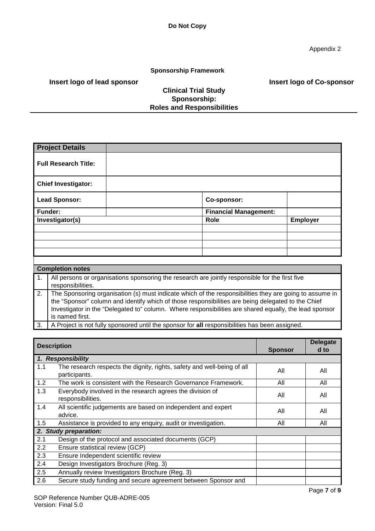#### **Sponsorship Framework**

 **Insert logo of lead sponsor**

### **Clinical Trial Study Sponsorship: Roles and Responsibilities**

 **Insert logo of Co-sponsor**

| <b>Project Details</b>        |                                                                                                 |                 |
|-------------------------------|-------------------------------------------------------------------------------------------------|-----------------|
| <b>Full Research Title:</b>   |                                                                                                 |                 |
| <b>Chief Investigator:</b>    |                                                                                                 |                 |
| <b>Lead Sponsor:</b>          | Co-sponsor:                                                                                     |                 |
| <b>Funder:</b>                | <b>Financial Management:</b>                                                                    |                 |
|                               |                                                                                                 |                 |
| Investigator(s)               | Role                                                                                            | <b>Employer</b> |
|                               |                                                                                                 |                 |
|                               |                                                                                                 |                 |
|                               |                                                                                                 |                 |
|                               |                                                                                                 |                 |
|                               |                                                                                                 |                 |
| <b>Completion notes</b><br>1. | All persons or organisations sponsoring the research are jointly responsible for the first five |                 |

| The Sponsoring organisation (s) must indicate which of the responsibilities they are going to assume in                                                                                                                           |
|-----------------------------------------------------------------------------------------------------------------------------------------------------------------------------------------------------------------------------------|
| the "Sponsor" column and identify which of those responsibilities are being delegated to the Chief                                                                                                                                |
| Investigator in the "Delegated to" column. Where responsibilities are shared equally, the lead sponsor                                                                                                                            |
| is named first.                                                                                                                                                                                                                   |
| $\mathbf{A}$ in the contract of the contract of the contract of the contract of the contract of the contract of the contract of the contract of the contract of the contract of the contract of the contract of the contract of t |

|  |  |  | 3.   A Project is not fully sponsored until the sponsor for all responsibilities has been assigned. |  |
|--|--|--|-----------------------------------------------------------------------------------------------------|--|
|--|--|--|-----------------------------------------------------------------------------------------------------|--|

|     | <b>Description</b>                                                                       |                | <b>Delegate</b> |
|-----|------------------------------------------------------------------------------------------|----------------|-----------------|
|     |                                                                                          | <b>Sponsor</b> | d to            |
|     | 1. Responsibility                                                                        |                |                 |
| 1.1 | The research respects the dignity, rights, safety and well-being of all<br>participants. | All            | All             |
| 1.2 | The work is consistent with the Research Governance Framework.                           | All            | All             |
| 1.3 | Everybody involved in the research agrees the division of<br>responsibilities.           | All            | All             |
| 1.4 | All scientific judgements are based on independent and expert<br>advice.                 | All            | All             |
| 1.5 | Assistance is provided to any enquiry, audit or investigation.                           | All            | All             |
|     | 2. Study preparation:                                                                    |                |                 |
| 2.1 | Design of the protocol and associated documents (GCP)                                    |                |                 |
| 2.2 | Ensure statistical review (GCP)                                                          |                |                 |
| 2.3 | Ensure Independent scientific review                                                     |                |                 |
| 2.4 | Design Investigators Brochure (Reg. 3)                                                   |                |                 |
| 2.5 | Annually review Investigators Brochure (Reg. 3)                                          |                |                 |
| 2.6 | Secure study funding and secure agreement between Sponsor and                            |                |                 |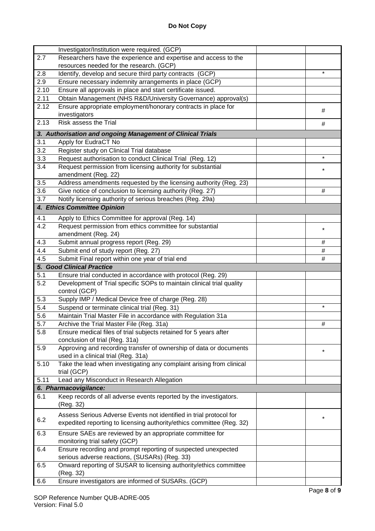|                  | Investigator/Institution were required. (GCP)                                                                                               |          |
|------------------|---------------------------------------------------------------------------------------------------------------------------------------------|----------|
| 2.7              | Researchers have the experience and expertise and access to the                                                                             |          |
|                  | resources needed for the research. (GCP)                                                                                                    |          |
| 2.8              | Identify, develop and secure third party contracts (GCP)                                                                                    | $\star$  |
| 2.9              | Ensure necessary indemnity arrangements in place (GCP)                                                                                      |          |
| 2.10             | Ensure all approvals in place and start certificate issued.                                                                                 |          |
| 2.11             | Obtain Management (NHS R&D/University Governance) approval(s)                                                                               |          |
| 2.12             | Ensure appropriate employment/honorary contracts in place for                                                                               | #        |
|                  | investigators                                                                                                                               |          |
| 2.13             | Risk assess the Trial                                                                                                                       | #        |
|                  | 3. Authorisation and ongoing Management of Clinical Trials                                                                                  |          |
| $\overline{3.1}$ | Apply for EudraCT No                                                                                                                        |          |
| 3.2              | Register study on Clinical Trial database                                                                                                   |          |
| 3.3              | Request authorisation to conduct Clinical Trial (Reg. 12)                                                                                   | $\star$  |
| 3.4              | Request permission from licensing authority for substantial                                                                                 |          |
|                  | amendment (Reg. 22)                                                                                                                         |          |
| 3.5              | Address amendments requested by the licensing authority (Reg. 23)                                                                           |          |
| 3.6              | Give notice of conclusion to licensing authority (Reg. 27)                                                                                  | #        |
| 3.7              | Notify licensing authority of serious breaches (Reg. 29a)                                                                                   |          |
|                  | 4. Ethics Committee Opinion                                                                                                                 |          |
| 4.1              |                                                                                                                                             |          |
| 4.2              | Apply to Ethics Committee for approval (Reg. 14)                                                                                            |          |
|                  | Request permission from ethics committee for substantial<br>amendment (Reg. 24)                                                             | $\star$  |
| 4.3              |                                                                                                                                             |          |
| 4.4              | Submit annual progress report (Reg. 29)                                                                                                     | #        |
|                  | Submit end of study report (Reg. 27)                                                                                                        | #        |
| 4.5              | Submit Final report within one year of trial end                                                                                            | #        |
|                  | <b>5. Good Clinical Practice</b>                                                                                                            |          |
| 5.1              | Ensure trial conducted in accordance with protocol (Reg. 29)                                                                                |          |
|                  |                                                                                                                                             |          |
| 5.2              | Development of Trial specific SOPs to maintain clinical trial quality<br>control (GCP)                                                      |          |
| 5.3              | Supply IMP / Medical Device free of charge (Reg. 28)                                                                                        |          |
| 5.4              | Suspend or terminate clinical trial (Reg. 31)                                                                                               | $\star$  |
| 5.6              | Maintain Trial Master File in accordance with Regulation 31a                                                                                |          |
| 5.7              | Archive the Trial Master File (Reg. 31a)                                                                                                    | #        |
| 5.8              | Ensure medical files of trial subjects retained for 5 years after                                                                           |          |
|                  | conclusion of trial (Reg. 31a)                                                                                                              |          |
| 5.9              | Approving and recording transfer of ownership of data or documents                                                                          | $\star$  |
|                  | used in a clinical trial (Reg. 31a)                                                                                                         |          |
| 5.10             | Take the lead when investigating any complaint arising from clinical                                                                        |          |
|                  | trial (GCP)                                                                                                                                 |          |
| 5.11             | Lead any Misconduct in Research Allegation                                                                                                  |          |
|                  | 6. Pharmacovigilance:                                                                                                                       |          |
| 6.1              | Keep records of all adverse events reported by the investigators.<br>(Reg. 32)                                                              |          |
| 6.2              | Assess Serious Adverse Events not identified in trial protocol for<br>expedited reporting to licensing authority/ethics committee (Reg. 32) | $^\star$ |
| 6.3              | Ensure SAEs are reviewed by an appropriate committee for<br>monitoring trial safety (GCP)                                                   |          |
| 6.4              | Ensure recording and prompt reporting of suspected unexpected                                                                               |          |
|                  |                                                                                                                                             |          |
| 6.5              | serious adverse reactions, (SUSARs) (Reg. 33)<br>Onward reporting of SUSAR to licensing authority/ethics committee<br>(Reg. 32)             |          |